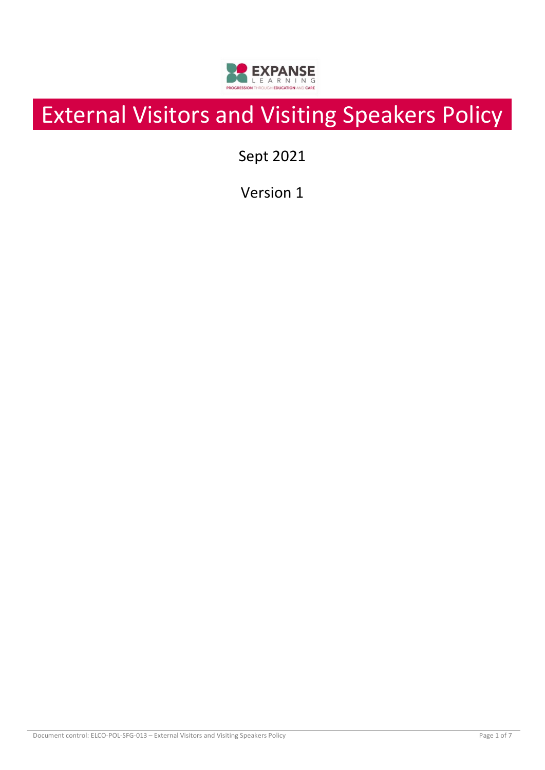

# External Visitors and Visiting Speakers Policy

Sept 2021

Version 1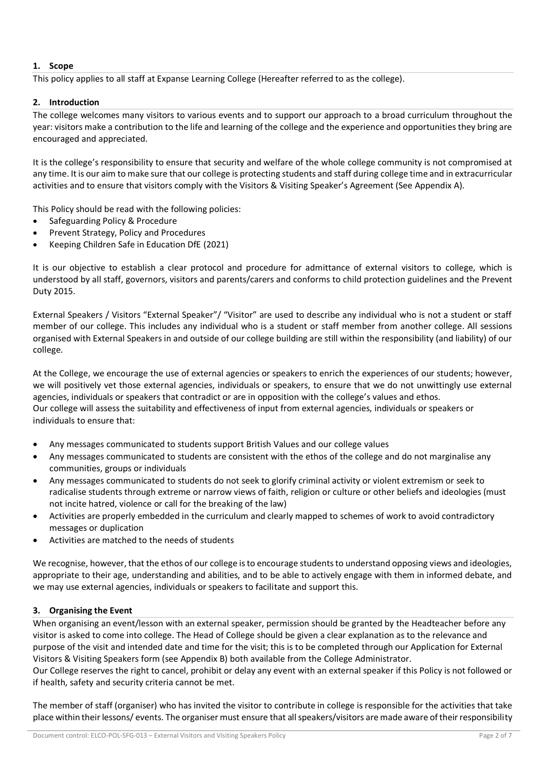# **1. Scope**

This policy applies to all staff at Expanse Learning College (Hereafter referred to as the college).

# **2. Introduction**

The college welcomes many visitors to various events and to support our approach to a broad curriculum throughout the year: visitors make a contribution to the life and learning of the college and the experience and opportunities they bring are encouraged and appreciated.

It is the college's responsibility to ensure that security and welfare of the whole college community is not compromised at any time. It is our aim to make sure that our college is protecting students and staff during college time and in extracurricular activities and to ensure that visitors comply with the Visitors & Visiting Speaker's Agreement (See Appendix A).

This Policy should be read with the following policies:

- Safeguarding Policy & Procedure
- Prevent Strategy, Policy and Procedures
- Keeping Children Safe in Education DfE (2021)

It is our objective to establish a clear protocol and procedure for admittance of external visitors to college, which is understood by all staff, governors, visitors and parents/carers and conforms to child protection guidelines and the Prevent Duty 2015.

External Speakers / Visitors "External Speaker"/ "Visitor" are used to describe any individual who is not a student or staff member of our college. This includes any individual who is a student or staff member from another college. All sessions organised with External Speakers in and outside of our college building are still within the responsibility (and liability) of our college.

At the College, we encourage the use of external agencies or speakers to enrich the experiences of our students; however, we will positively vet those external agencies, individuals or speakers, to ensure that we do not unwittingly use external agencies, individuals or speakers that contradict or are in opposition with the college's values and ethos. Our college will assess the suitability and effectiveness of input from external agencies, individuals or speakers or individuals to ensure that:

- Any messages communicated to students support British Values and our college values
- Any messages communicated to students are consistent with the ethos of the college and do not marginalise any communities, groups or individuals
- Any messages communicated to students do not seek to glorify criminal activity or violent extremism or seek to radicalise students through extreme or narrow views of faith, religion or culture or other beliefs and ideologies (must not incite hatred, violence or call for the breaking of the law)
- Activities are properly embedded in the curriculum and clearly mapped to schemes of work to avoid contradictory messages or duplication
- Activities are matched to the needs of students

We recognise, however, that the ethos of our college is to encourage students to understand opposing views and ideologies, appropriate to their age, understanding and abilities, and to be able to actively engage with them in informed debate, and we may use external agencies, individuals or speakers to facilitate and support this.

# **3. Organising the Event**

When organising an event/lesson with an external speaker, permission should be granted by the Headteacher before any visitor is asked to come into college. The Head of College should be given a clear explanation as to the relevance and purpose of the visit and intended date and time for the visit; this is to be completed through our Application for External Visitors & Visiting Speakers form (see Appendix B) both available from the College Administrator.

Our College reserves the right to cancel, prohibit or delay any event with an external speaker if this Policy is not followed or if health, safety and security criteria cannot be met.

The member of staff (organiser) who has invited the visitor to contribute in college is responsible for the activities that take place within their lessons/ events. The organiser must ensure that all speakers/visitors are made aware of their responsibility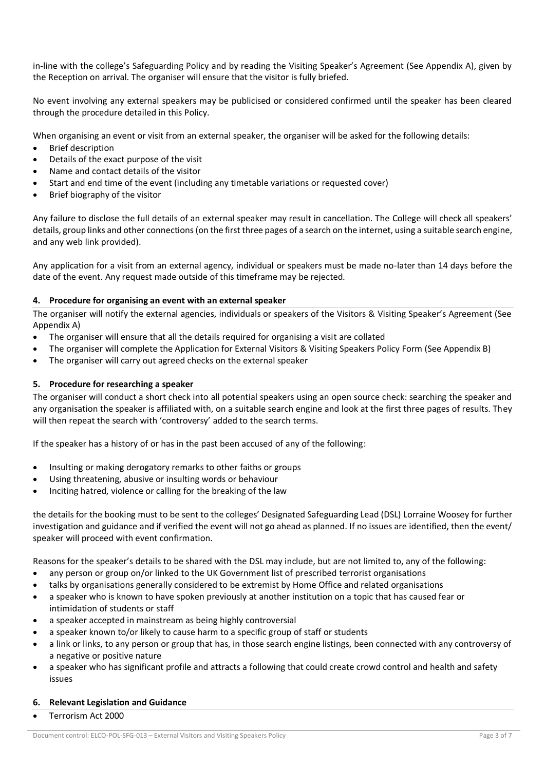in-line with the college's Safeguarding Policy and by reading the Visiting Speaker's Agreement (See Appendix A), given by the Reception on arrival. The organiser will ensure that the visitor is fully briefed.

No event involving any external speakers may be publicised or considered confirmed until the speaker has been cleared through the procedure detailed in this Policy.

When organising an event or visit from an external speaker, the organiser will be asked for the following details:

- **Brief description**
- Details of the exact purpose of the visit
- Name and contact details of the visitor
- Start and end time of the event (including any timetable variations or requested cover)
- Brief biography of the visitor

Any failure to disclose the full details of an external speaker may result in cancellation. The College will check all speakers' details, group links and other connections (on the first three pages of a search on the internet, using a suitable search engine, and any web link provided).

Any application for a visit from an external agency, individual or speakers must be made no-later than 14 days before the date of the event. Any request made outside of this timeframe may be rejected.

## **4. Procedure for organising an event with an external speaker**

The organiser will notify the external agencies, individuals or speakers of the Visitors & Visiting Speaker's Agreement (See Appendix A)

- The organiser will ensure that all the details required for organising a visit are collated
- The organiser will complete the Application for External Visitors & Visiting Speakers Policy Form (See Appendix B)
- The organiser will carry out agreed checks on the external speaker

## **5. Procedure for researching a speaker**

The organiser will conduct a short check into all potential speakers using an open source check: searching the speaker and any organisation the speaker is affiliated with, on a suitable search engine and look at the first three pages of results. They will then repeat the search with 'controversy' added to the search terms.

If the speaker has a history of or has in the past been accused of any of the following:

- Insulting or making derogatory remarks to other faiths or groups
- Using threatening, abusive or insulting words or behaviour
- Inciting hatred, violence or calling for the breaking of the law

the details for the booking must to be sent to the colleges' Designated Safeguarding Lead (DSL) Lorraine Woosey for further investigation and guidance and if verified the event will not go ahead as planned. If no issues are identified, then the event/ speaker will proceed with event confirmation.

Reasons for the speaker's details to be shared with the DSL may include, but are not limited to, any of the following:

- any person or group on/or linked to the UK Government list of prescribed terrorist organisations
- talks by organisations generally considered to be extremist by Home Office and related organisations
- a speaker who is known to have spoken previously at another institution on a topic that has caused fear or intimidation of students or staff
- a speaker accepted in mainstream as being highly controversial
- a speaker known to/or likely to cause harm to a specific group of staff or students
- a link or links, to any person or group that has, in those search engine listings, been connected with any controversy of a negative or positive nature
- a speaker who has significant profile and attracts a following that could create crowd control and health and safety issues

#### **6. Relevant Legislation and Guidance**

• Terrorism Act 2000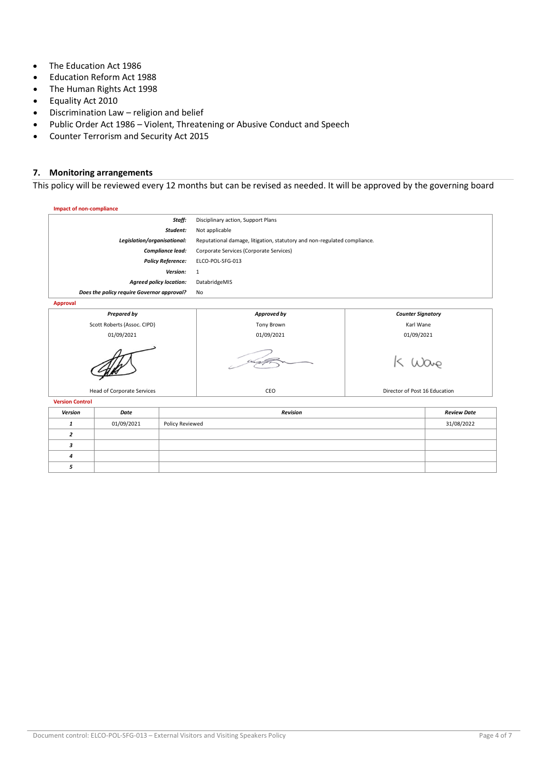- The Education Act 1986
- Education Reform Act 1988
- The Human Rights Act 1998
- Equality Act 2010
- Discrimination Law religion and belief
- Public Order Act 1986 Violent, Threatening or Abusive Conduct and Speech
- Counter Terrorism and Security Act 2015

## **7. Monitoring arrangements**

This policy will be reviewed every 12 months but can be revised as needed. It will be approved by the governing board

| <b>Impact of non-compliance</b> |                                            |                          |                                                                          |                               |                    |  |  |
|---------------------------------|--------------------------------------------|--------------------------|--------------------------------------------------------------------------|-------------------------------|--------------------|--|--|
|                                 |                                            | Staff:                   | Disciplinary action, Support Plans                                       |                               |                    |  |  |
|                                 |                                            | Student:                 | Not applicable                                                           |                               |                    |  |  |
|                                 | Legislation/organisational:                |                          | Reputational damage, litigation, statutory and non-regulated compliance. |                               |                    |  |  |
|                                 |                                            | Compliance lead:         | Corporate Services (Corporate Services)                                  |                               |                    |  |  |
|                                 |                                            | <b>Policy Reference:</b> | ELCO-POL-SFG-013                                                         |                               |                    |  |  |
|                                 |                                            | Version:                 | 1                                                                        |                               |                    |  |  |
|                                 | <b>Agreed policy location:</b>             |                          | DatabridgeMIS                                                            |                               |                    |  |  |
|                                 | Does the policy require Governor approval? |                          | No                                                                       |                               |                    |  |  |
| <b>Approval</b>                 |                                            |                          |                                                                          |                               |                    |  |  |
| <b>Prepared by</b>              |                                            |                          | Approved by                                                              | <b>Counter Signatory</b>      |                    |  |  |
| Scott Roberts (Assoc. CIPD)     |                                            |                          | <b>Tony Brown</b>                                                        | Karl Wane                     |                    |  |  |
| 01/09/2021                      |                                            |                          | 01/09/2021                                                               | 01/09/2021                    |                    |  |  |
|                                 |                                            |                          |                                                                          |                               |                    |  |  |
| Head of Corporate Services      |                                            |                          | CEO                                                                      | Director of Post 16 Education |                    |  |  |
| <b>Version Control</b>          |                                            |                          |                                                                          |                               |                    |  |  |
| <b>Version</b>                  | Date                                       |                          | <b>Revision</b>                                                          |                               | <b>Review Date</b> |  |  |

| Version | Date       | <b>Revision</b> | <b>Review Date</b> |
|---------|------------|-----------------|--------------------|
|         | 01/09/2021 | Policy Reviewed | 31/08/2022         |
|         |            |                 |                    |
|         |            |                 |                    |
|         |            |                 |                    |
|         |            |                 |                    |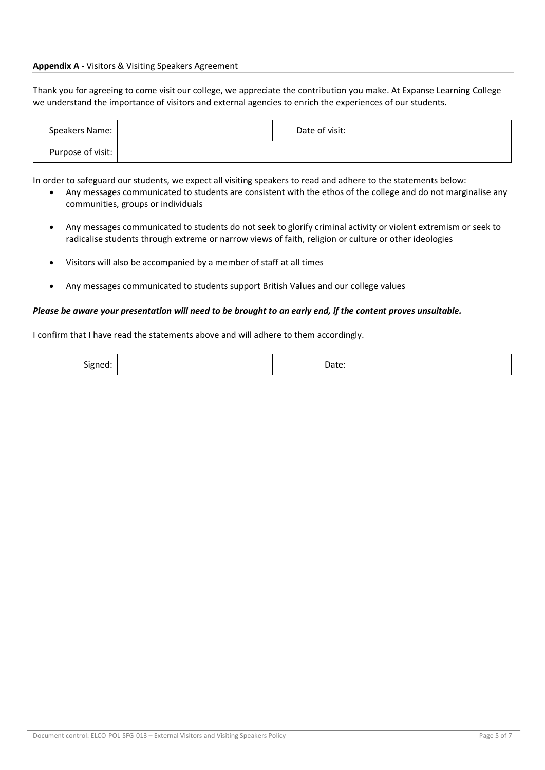#### **Appendix A** - Visitors & Visiting Speakers Agreement

Thank you for agreeing to come visit our college, we appreciate the contribution you make. At Expanse Learning College we understand the importance of visitors and external agencies to enrich the experiences of our students.

| Speakers Name:    | Date of visit: |  |
|-------------------|----------------|--|
| Purpose of visit: |                |  |

In order to safeguard our students, we expect all visiting speakers to read and adhere to the statements below:

- Any messages communicated to students are consistent with the ethos of the college and do not marginalise any communities, groups or individuals
- Any messages communicated to students do not seek to glorify criminal activity or violent extremism or seek to radicalise students through extreme or narrow views of faith, religion or culture or other ideologies
- Visitors will also be accompanied by a member of staff at all times
- Any messages communicated to students support British Values and our college values

#### *Please be aware your presentation will need to be brought to an early end, if the content proves unsuitable.*

I confirm that I have read the statements above and will adhere to them accordingly.

| Signed: | Date: |  |
|---------|-------|--|
|---------|-------|--|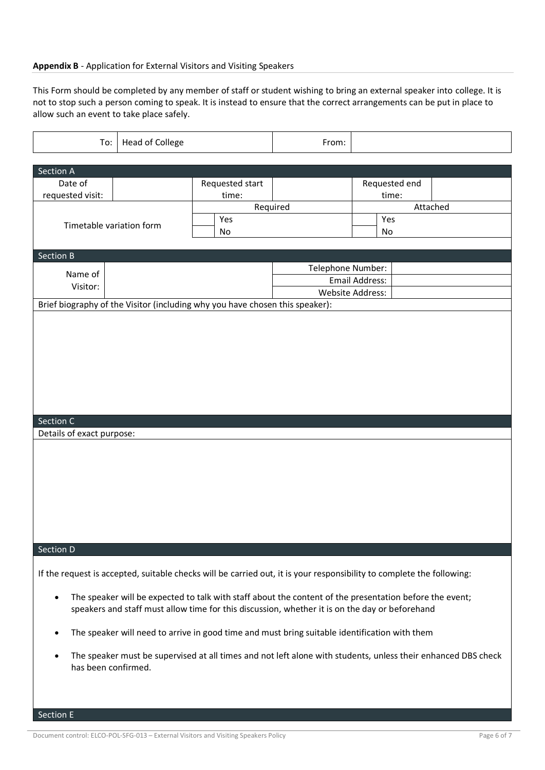## **Appendix B** - Application for External Visitors and Visiting Speakers

This Form should be completed by any member of staff or student wishing to bring an external speaker into college. It is not to stop such a person coming to speak. It is instead to ensure that the correct arrangements can be put in place to allow such an event to take place safely.

| To:                                                                                                                                                                                                                    | Head of College                                                                               |                          | From:                                                                                                         |                                    |          |  |
|------------------------------------------------------------------------------------------------------------------------------------------------------------------------------------------------------------------------|-----------------------------------------------------------------------------------------------|--------------------------|---------------------------------------------------------------------------------------------------------------|------------------------------------|----------|--|
| Section A                                                                                                                                                                                                              |                                                                                               |                          |                                                                                                               |                                    |          |  |
| Date of<br>requested visit:                                                                                                                                                                                            |                                                                                               | Requested start<br>time: |                                                                                                               | Requested end<br>time:             |          |  |
| Timetable variation form                                                                                                                                                                                               |                                                                                               | Yes<br>No                | Required                                                                                                      | Yes<br>No                          | Attached |  |
| <b>Section B</b>                                                                                                                                                                                                       |                                                                                               |                          |                                                                                                               |                                    |          |  |
| Name of<br>Visitor:                                                                                                                                                                                                    |                                                                                               |                          | Telephone Number:                                                                                             | Email Address:<br>Website Address: |          |  |
| Brief biography of the Visitor (including why you have chosen this speaker):                                                                                                                                           |                                                                                               |                          |                                                                                                               |                                    |          |  |
| Section C<br>Details of exact purpose:                                                                                                                                                                                 |                                                                                               |                          |                                                                                                               |                                    |          |  |
|                                                                                                                                                                                                                        |                                                                                               |                          |                                                                                                               |                                    |          |  |
| Section D                                                                                                                                                                                                              |                                                                                               |                          |                                                                                                               |                                    |          |  |
| If the request is accepted, suitable checks will be carried out, it is your responsibility to complete the following:                                                                                                  |                                                                                               |                          |                                                                                                               |                                    |          |  |
| The speaker will be expected to talk with staff about the content of the presentation before the event;<br>$\bullet$<br>speakers and staff must allow time for this discussion, whether it is on the day or beforehand |                                                                                               |                          |                                                                                                               |                                    |          |  |
|                                                                                                                                                                                                                        | The speaker will need to arrive in good time and must bring suitable identification with them |                          |                                                                                                               |                                    |          |  |
| has been confirmed.                                                                                                                                                                                                    |                                                                                               |                          | The speaker must be supervised at all times and not left alone with students, unless their enhanced DBS check |                                    |          |  |

Section E